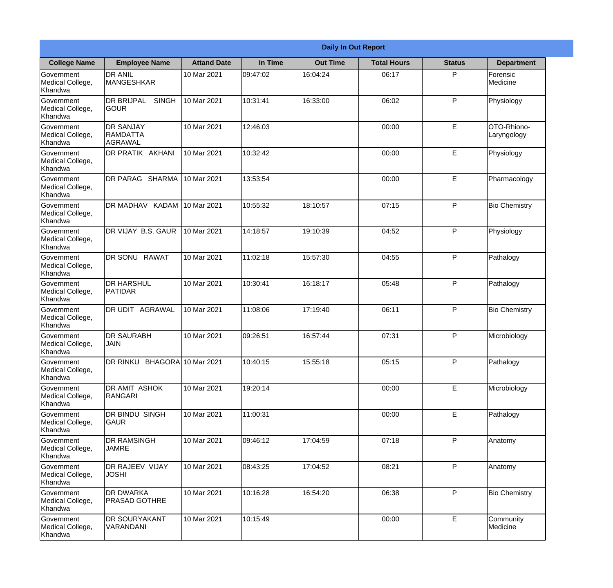|                                                  |                                                        |                    |          | <b>Daily In Out Report</b> |                    |               |                            |
|--------------------------------------------------|--------------------------------------------------------|--------------------|----------|----------------------------|--------------------|---------------|----------------------------|
| <b>College Name</b>                              | <b>Employee Name</b>                                   | <b>Attand Date</b> | In Time  | <b>Out Time</b>            | <b>Total Hours</b> | <b>Status</b> | <b>Department</b>          |
| Government<br>Medical College,<br>Khandwa        | <b>DR ANIL</b><br><b>MANGESHKAR</b>                    | 10 Mar 2021        | 09:47:02 | 16:04:24                   | 06:17              | P             | Forensic<br>Medicine       |
| Government<br>Medical College,<br>Khandwa        | <b>DR BRIJPAL</b><br><b>SINGH</b><br> GOUR             | 10 Mar 2021        | 10:31:41 | 16:33:00                   | 06:02              | P             | Physiology                 |
| <b>Government</b><br>Medical College,<br>Khandwa | <b>IDR SANJAY</b><br><b>RAMDATTA</b><br><b>AGRAWAL</b> | 10 Mar 2021        | 12:46:03 |                            | 00:00              | E             | OTO-Rhiono-<br>Laryngology |
| Government<br>Medical College,<br>Khandwa        | <b>DR PRATIK AKHANI</b>                                | 10 Mar 2021        | 10:32:42 |                            | 00:00              | E             | Physiology                 |
| Government<br>Medical College,<br>Khandwa        | <b>DR PARAG SHARMA</b>                                 | 10 Mar 2021        | 13:53:54 |                            | 00:00              | E             | Pharmacology               |
| Government<br>Medical College,<br>Khandwa        | DR MADHAV KADAM                                        | 10 Mar 2021        | 10:55:32 | 18:10:57                   | 07:15              | P             | <b>Bio Chemistry</b>       |
| Government<br>Medical College,<br>Khandwa        | <b>IDR VIJAY B.S. GAUR</b>                             | 10 Mar 2021        | 14:18:57 | 19:10:39                   | 04:52              | P             | Physiology                 |
| Government<br>Medical College,<br>Khandwa        | DR SONU RAWAT                                          | 10 Mar 2021        | 11:02:18 | 15:57:30                   | 04:55              | P             | Pathalogy                  |
| Government<br>Medical College,<br>Khandwa        | <b>DR HARSHUL</b><br>PATIDAR                           | 10 Mar 2021        | 10:30:41 | 16:18:17                   | 05:48              | P             | Pathalogy                  |
| Government<br>Medical College,<br>Khandwa        | DR UDIT<br><b>AGRAWAL</b>                              | 10 Mar 2021        | 11:08:06 | 17:19:40                   | 06:11              | P             | <b>Bio Chemistry</b>       |
| Government<br>Medical College,<br>Khandwa        | <b>IDR SAURABH</b><br><b>JAIN</b>                      | 10 Mar 2021        | 09:26:51 | 16:57:44                   | 07:31              | $\mathsf{P}$  | Microbiology               |
| Government<br>Medical College,<br>Khandwa        | DR RINKU BHAGORA 10 Mar 2021                           |                    | 10:40:15 | 15:55:18                   | 05:15              | P             | Pathalogy                  |
| Government<br>Medical College,<br>Khandwa        | DR AMIT ASHOK<br>RANGARI                               | 10 Mar 2021        | 19:20:14 |                            | 00:00              | E             | Microbiology               |
| Government<br>Medical College,<br>Khandwa        | DR BINDU SINGH<br> GAUR                                | 10 Mar 2021        | 11:00:31 |                            | 00:00              | E             | Pathalogy                  |
| Government<br>Medical College,<br>Khandwa        | <b>DR RAMSINGH</b><br><b>JAMRE</b>                     | 10 Mar 2021        | 09:46:12 | 17:04:59                   | 07:18              | P             | Anatomy                    |
| Government<br>Medical College,<br>Khandwa        | <b>DR RAJEEV VIJAY</b><br><b>JOSHI</b>                 | 10 Mar 2021        | 08:43:25 | 17:04:52                   | 08:21              | P             | Anatomy                    |
| Government<br>Medical College,<br>Khandwa        | <b>DR DWARKA</b><br><b>PRASAD GOTHRE</b>               | 10 Mar 2021        | 10:16:28 | 16:54:20                   | 06:38              | P             | <b>Bio Chemistry</b>       |
| Government<br>Medical College,<br>Khandwa        | <b>DR SOURYAKANT</b><br>VARANDANI                      | 10 Mar 2021        | 10:15:49 |                            | 00:00              | E             | Community<br>Medicine      |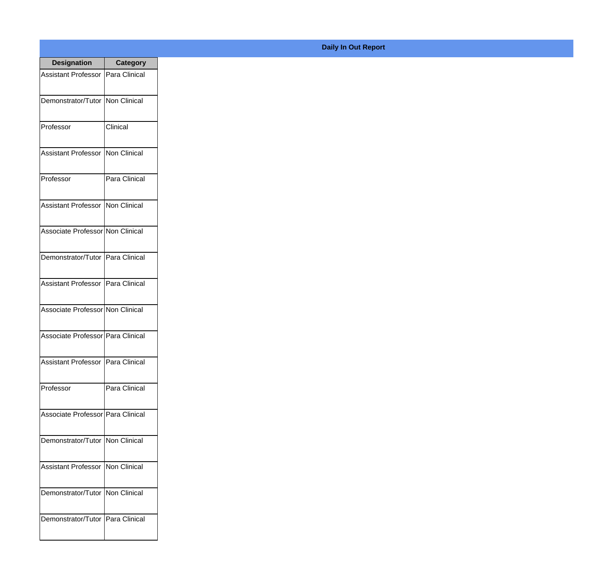| <b>Designation</b>                  | <b>Category</b> |
|-------------------------------------|-----------------|
| Assistant Professor   Para Clinical |                 |
| Demonstrator/Tutor   Non Clinical   |                 |
| Professor                           | Clinical        |
| <b>Assistant Professor</b>          | Non Clinical    |
| Professor                           | Para Clinical   |
| Assistant Professor   Non Clinical  |                 |
| Associate Professor Non Clinical    |                 |
| Demonstrator/Tutor   Para Clinical  |                 |
| Assistant Professor   Para Clinical |                 |
| Associate Professor Non Clinical    |                 |
| Associate Professor   Para Clinical |                 |
| Assistant Professor   Para Clinical |                 |
| Professor                           | Para Clinical   |
| Associate Professor   Para Clinical |                 |
| Demonstrator/Tutor   Non Clinical   |                 |
| <b>Assistant Professor</b>          | Non Clinical    |
| Demonstrator/Tutor                  | Non Clinical    |
| Demonstrator/Tutor   Para Clinical  |                 |

## **Daily In Out Report**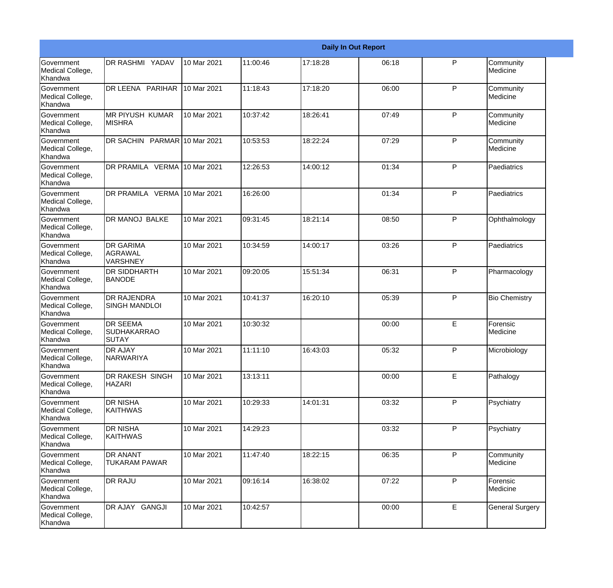|                                                  |                                                       |             |          |          | <b>Daily In Out Report</b> |              |                        |
|--------------------------------------------------|-------------------------------------------------------|-------------|----------|----------|----------------------------|--------------|------------------------|
| <b>Government</b><br>Medical College,<br>Khandwa | DR RASHMI YADAV                                       | 10 Mar 2021 | 11:00:46 | 17:18:28 | 06:18                      | P            | Community<br>Medicine  |
| <b>Government</b><br>Medical College,<br>Khandwa | DR LEENA PARIHAR                                      | 10 Mar 2021 | 11:18:43 | 17:18:20 | 06:00                      | $\mathsf{P}$ | Community<br>Medicine  |
| <b>Government</b><br>Medical College,<br>Khandwa | <b>MR PIYUSH KUMAR</b><br><b>MISHRA</b>               | 10 Mar 2021 | 10:37:42 | 18:26:41 | 07:49                      | P            | Community<br>Medicine  |
| <b>Government</b><br>Medical College,<br>Khandwa | DR SACHIN PARMAR 10 Mar 2021                          |             | 10:53:53 | 18:22:24 | 07:29                      | P            | Community<br>Medicine  |
| Government<br>Medical College,<br>Khandwa        | DR PRAMILA VERMA 10 Mar 2021                          |             | 12:26:53 | 14:00:12 | 01:34                      | P            | Paediatrics            |
| Government<br>Medical College,<br>Khandwa        | DR PRAMILA VERMA 10 Mar 2021                          |             | 16:26:00 |          | 01:34                      | $\mathsf{P}$ | Paediatrics            |
| Government<br>Medical College,<br>Khandwa        | DR MANOJ BALKE                                        | 10 Mar 2021 | 09:31:45 | 18:21:14 | 08:50                      | P            | Ophthalmology          |
| Government<br>Medical College,<br>Khandwa        | <b>DR GARIMA</b><br>AGRAWAL<br><b>VARSHNEY</b>        | 10 Mar 2021 | 10:34:59 | 14:00:17 | 03:26                      | P            | Paediatrics            |
| Government<br>Medical College,<br>Khandwa        | <b>DR SIDDHARTH</b><br><b>BANODE</b>                  | 10 Mar 2021 | 09:20:05 | 15:51:34 | 06:31                      | $\mathsf{P}$ | Pharmacology           |
| <b>Government</b><br>Medical College,<br>Khandwa | <b>DR RAJENDRA</b><br><b>SINGH MANDLOI</b>            | 10 Mar 2021 | 10:41:37 | 16:20:10 | 05:39                      | P            | <b>Bio Chemistry</b>   |
| <b>Government</b><br>Medical College,<br>Khandwa | <b>DR SEEMA</b><br><b>SUDHAKARRAO</b><br><b>SUTAY</b> | 10 Mar 2021 | 10:30:32 |          | 00:00                      | E            | Forensic<br>Medicine   |
| Government<br>Medical College,<br>Khandwa        | <b>DR AJAY</b><br><b>NARWARIYA</b>                    | 10 Mar 2021 | 11:11:10 | 16:43:03 | 05:32                      | P            | Microbiology           |
| <b>Government</b><br>Medical College,<br>Khandwa | DR RAKESH SINGH<br><b>HAZARI</b>                      | 10 Mar 2021 | 13:13:11 |          | 00:00                      | E            | Pathalogy              |
| Government<br>Medical College,<br>Khandwa        | <b>DR NISHA</b><br><b>KAITHWAS</b>                    | 10 Mar 2021 | 10:29:33 | 14:01:31 | 03:32                      | $\mathsf{P}$ | Psychiatry             |
| Government<br>Medical College,<br>Khandwa        | <b>DR NISHA</b><br><b>KAITHWAS</b>                    | 10 Mar 2021 | 14:29:23 |          | 03:32                      | P            | Psychiatry             |
| Government<br>Medical College,<br>Khandwa        | <b>DR ANANT</b><br>TUKARAM PAWAR                      | 10 Mar 2021 | 11:47:40 | 18:22:15 | 06:35                      | P            | Community<br>Medicine  |
| Government<br>Medical College,<br>Khandwa        | <b>DR RAJU</b>                                        | 10 Mar 2021 | 09:16:14 | 16:38:02 | 07:22                      | P            | Forensic<br>Medicine   |
| Government<br>Medical College,<br>Khandwa        | DR AJAY GANGJI                                        | 10 Mar 2021 | 10:42:57 |          | 00:00                      | $\mathsf E$  | <b>General Surgery</b> |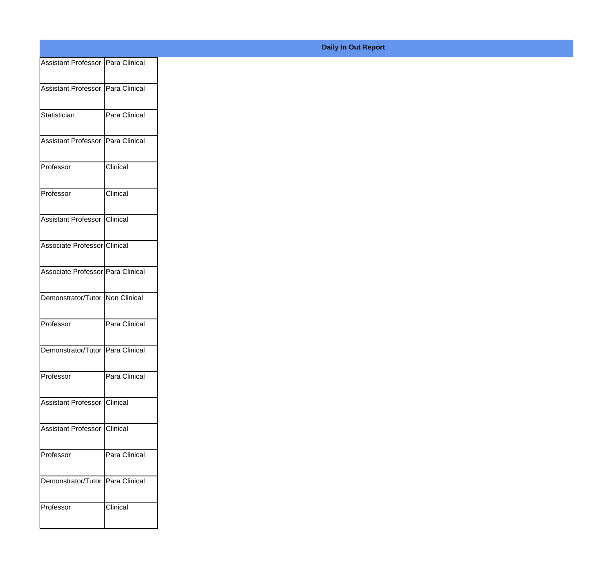| Assistant Professor   Para Clinical |               |
|-------------------------------------|---------------|
| Assistant Professor   Para Clinical |               |
|                                     |               |
| Statistician                        | Para Clinical |
| Assistant Professor   Para Clinical |               |
| Professor                           | Clinical      |
|                                     |               |
| Professor                           | Clinical      |
| Assistant Professor Clinical        |               |
| Associate Professor Clinical        |               |
|                                     |               |
| Associate Professor Para Clinical   |               |
| Demonstrator/Tutor Non Clinical     |               |
| Professor                           | Para Clinical |
|                                     |               |
| Demonstrator/Tutor Para Clinical    |               |
| Professor                           | Para Clinical |
| Assistant Professor Clinical        |               |
|                                     |               |
| Assistant Professor Clinical        |               |
| Professor                           | Para Clinical |
| Demonstrator/Tutor Para Clinical    |               |
|                                     |               |
| Professor                           | Clinical      |
|                                     |               |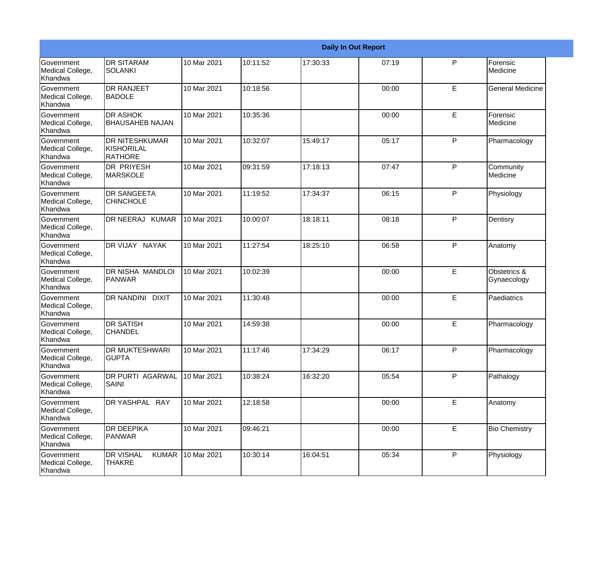|                                                  |                                                       |             |          |          | <b>Daily In Out Report</b> |              |                             |
|--------------------------------------------------|-------------------------------------------------------|-------------|----------|----------|----------------------------|--------------|-----------------------------|
| Government<br>Medical College,<br>Khandwa        | <b>DR SITARAM</b><br><b>SOLANKI</b>                   | 10 Mar 2021 | 10:11:52 | 17:30:33 | 07:19                      | P            | Forensic<br>Medicine        |
| <b>Government</b><br>Medical College,<br>Khandwa | <b>DR RANJEET</b><br><b>BADOLE</b>                    | 10 Mar 2021 | 10:18:56 |          | 00:00                      | E            | <b>General Medicine</b>     |
| Government<br>Medical College,<br>Khandwa        | <b>DR ASHOK</b><br><b>BHAUSAHEB NAJAN</b>             | 10 Mar 2021 | 10:35:36 |          | 00:00                      | E.           | Forensic<br>Medicine        |
| <b>Government</b><br>Medical College,<br>Khandwa | <b>DR NITESHKUMAR</b><br>KISHORILAL<br><b>RATHORE</b> | 10 Mar 2021 | 10:32:07 | 15:49:17 | 05:17                      | P            | Pharmacology                |
| <b>Government</b><br>Medical College,<br>Khandwa | <b>DR PRIYESH</b><br><b>MARSKOLE</b>                  | 10 Mar 2021 | 09:31:59 | 17:18:13 | 07:47                      | P            | Community<br>Medicine       |
| Government<br>Medical College,<br>Khandwa        | <b>DR SANGEETA</b><br><b>CHINCHOLE</b>                | 10 Mar 2021 | 11:19:52 | 17:34:37 | 06:15                      | P            | Physiology                  |
| Government<br>Medical College,<br>Khandwa        | DR NEERAJ KUMAR                                       | 10 Mar 2021 | 10:00:07 | 18:18:11 | 08:18                      | P            | Dentisry                    |
| Government<br>Medical College,<br>Khandwa        | DR VIJAY NAYAK                                        | 10 Mar 2021 | 11:27:54 | 18:25:10 | 06:58                      | P            | Anatomy                     |
| <b>Government</b><br>Medical College,<br>Khandwa | DR NISHA MANDLOI<br><b>PANWAR</b>                     | 10 Mar 2021 | 10:02:39 |          | 00:00                      | E            | Obstetrics &<br>Gynaecology |
| Government<br>Medical College,<br><b>Khandwa</b> | DR NANDINI<br><b>DIXIT</b>                            | 10 Mar 2021 | 11:30:48 |          | 00:00                      | E            | Paediatrics                 |
| Government<br>Medical College,<br>Khandwa        | <b>DR SATISH</b><br><b>CHANDEL</b>                    | 10 Mar 2021 | 14:59:38 |          | 00:00                      | E            | Pharmacology                |
| Government<br>Medical College,<br>Khandwa        | DR MUKTESHWARI<br><b>GUPTA</b>                        | 10 Mar 2021 | 11:17:46 | 17:34:29 | 06:17                      | P            | Pharmacology                |
| Government<br>Medical College,<br>Khandwa        | DR PURTI AGARWAL<br><b>SAINI</b>                      | 10 Mar 2021 | 10:38:24 | 16:32:20 | 05:54                      | P            | Pathalogy                   |
| Government<br>Medical College,<br>Khandwa        | DR YASHPAL RAY                                        | 10 Mar 2021 | 12:18:58 |          | 00:00                      | E.           | Anatomy                     |
| Government<br>Medical College,<br>Khandwa        | <b>DR DEEPIKA</b><br>PANWAR                           | 10 Mar 2021 | 09:46:21 |          | 00:00                      | E            | <b>Bio Chemistry</b>        |
| Government<br>Medical College,<br>Khandwa        | <b>DR VISHAL</b><br><b>KUMAR</b><br><b>THAKRE</b>     | 10 Mar 2021 | 10:30:14 | 16:04:51 | 05:34                      | $\mathsf{P}$ | Physiology                  |